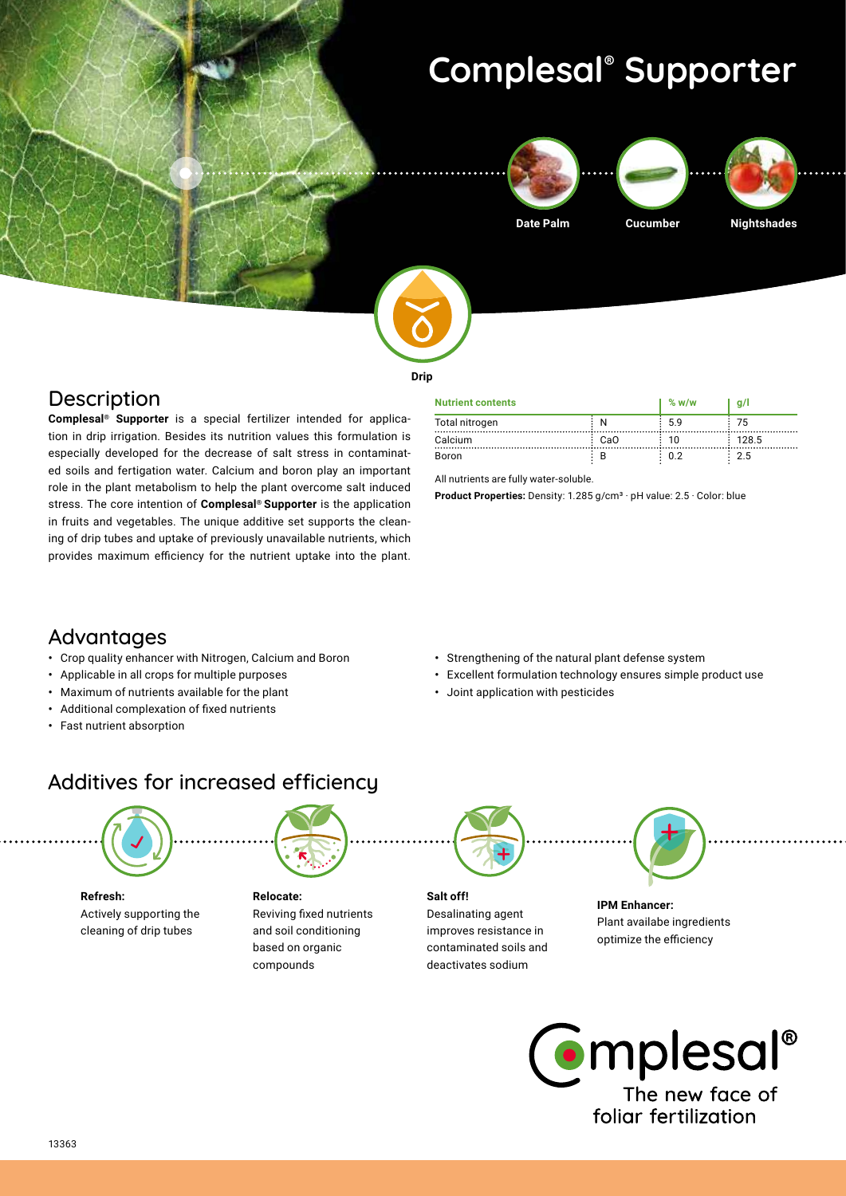# **Complesal® Supporter**







**Date Palm Cucumber Nightshades**



#### **Drip**

#### **Description**

**Complesal® Supporter** is a special fertilizer intended for application in drip irrigation. Besides its nutrition values this formulation is especially developed for the decrease of salt stress in contaminated soils and fertigation water. Calcium and boron play an important role in the plant metabolism to help the plant overcome salt induced stress. The core intention of **Complesal® Supporter** is the application in fruits and vegetables. The unique additive set supports the cleaning of drip tubes and uptake of previously unavailable nutrients, which provides maximum efficiency for the nutrient uptake into the plant.

| <b>Nutrient contents</b> |     | % w/w | a/l   |
|--------------------------|-----|-------|-------|
| Total nitrogen           |     | 59    |       |
| Calcium                  | CaO |       | 128.5 |
| Boron                    |     | ጠ ገ   | 25    |

All nutrients are fully water-soluble.

**Product Properties:** Density: 1.285 g/cm<sup>3</sup> · pH value: 2.5 · Color: blue

### Advantages

- **•** Crop quality enhancer with Nitrogen, Calcium and Boron
- **•** Applicable in all crops for multiple purposes
- **•** Maximum of nutrients available for the plant
- **•** Additional complexation of fixed nutrients
- **•** Fast nutrient absorption
- **•** Strengthening of the natural plant defense system
- **•** Excellent formulation technology ensures simple product use
- **•** Joint application with pesticides

## Additives for increased efficiency



**Refresh:** Actively supporting the cleaning of drip tubes

**Relocate:** Reviving fixed nutrients and soil conditioning based on organic compounds



Desalinating agent improves resistance in contaminated soils and deactivates sodium



**IPM Enhancer:**  Plant availabe ingredients optimize the efficiency

**C**emplesal® The new face of foliar fertilization